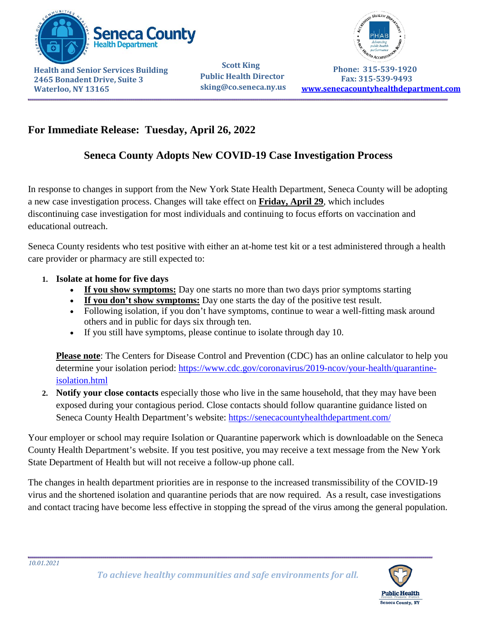

**Health and Senior Services Building 2465 Bonadent Drive, Suite 3 Waterloo, NY 13165**

 **Scott King Public Health Director sking@co.seneca.ny.us** 



 **Phone: 315-539-1920 Fax: 315-539-9493 [www.senecacountyhealthdepartment.com](http://www.senecacountyhealthdepartment.com/)**

## **For Immediate Release: Tuesday, April 26, 2022**

## **Seneca County Adopts New COVID-19 Case Investigation Process**

In response to changes in support from the New York State Health Department, Seneca County will be adopting a new case investigation process. Changes will take effect on **Friday, April 29**, which includes discontinuing case investigation for most individuals and continuing to focus efforts on vaccination and educational outreach.

Seneca County residents who test positive with either an at-home test kit or a test administered through a health care provider or pharmacy are still expected to:

- **1. Isolate at home for five days**
	- If you show symptoms: Day one starts no more than two days prior symptoms starting
	- **If you don't show symptoms:** Day one starts the day of the positive test result.
	- Following isolation, if you don't have symptoms, continue to wear a well-fitting mask around others and in public for days six through ten.
	- If you still have symptoms, please continue to isolate through day 10.

**Please note**: The Centers for Disease Control and Prevention (CDC) has an online calculator to help you determine your isolation period: [https://www.cdc.gov/coronavirus/2019-ncov/your-health/quarantine](https://gcc02.safelinks.protection.outlook.com/?url=https%3A%2F%2Fwww.cdc.gov%2Fcoronavirus%2F2019-ncov%2Fyour-health%2Fquarantine-isolation.html&data=05%7C01%7CShaun.Sharp%40HEALTH.NY.GOV%7C4efd230796eb43e9eb7708da25eacbb5%7Cf46cb8ea79004d108ceb80e8c1c81ee7%7C0%7C0%7C637863987610135460%7CUnknown%7CTWFpbGZsb3d8eyJWIjoiMC4wLjAwMDAiLCJQIjoiV2luMzIiLCJBTiI6Ik1haWwiLCJXVCI6Mn0%3D%7C3000%7C%7C%7C&sdata=zUY6zF7ggkFOTRNJDXfMmPZ27GmvoEVVqgBstHPkCOA%3D&reserved=0)[isolation.html](https://gcc02.safelinks.protection.outlook.com/?url=https%3A%2F%2Fwww.cdc.gov%2Fcoronavirus%2F2019-ncov%2Fyour-health%2Fquarantine-isolation.html&data=05%7C01%7CShaun.Sharp%40HEALTH.NY.GOV%7C4efd230796eb43e9eb7708da25eacbb5%7Cf46cb8ea79004d108ceb80e8c1c81ee7%7C0%7C0%7C637863987610135460%7CUnknown%7CTWFpbGZsb3d8eyJWIjoiMC4wLjAwMDAiLCJQIjoiV2luMzIiLCJBTiI6Ik1haWwiLCJXVCI6Mn0%3D%7C3000%7C%7C%7C&sdata=zUY6zF7ggkFOTRNJDXfMmPZ27GmvoEVVqgBstHPkCOA%3D&reserved=0)

**2. Notify your close contacts** especially those who live in the same household, that they may have been exposed during your contagious period. Close contacts should follow quarantine guidance listed on Seneca County Health Department's website:<https://senecacountyhealthdepartment.com/>

Your employer or school may require Isolation or Quarantine paperwork which is downloadable on the Seneca County Health Department's website. If you test positive, you may receive a text message from the New York State Department of Health but will not receive a follow-up phone call.

The changes in health department priorities are in response to the increased transmissibility of the COVID-19 virus and the shortened isolation and quarantine periods that are now required. As a result, case investigations and contact tracing have become less effective in stopping the spread of the virus among the general population.